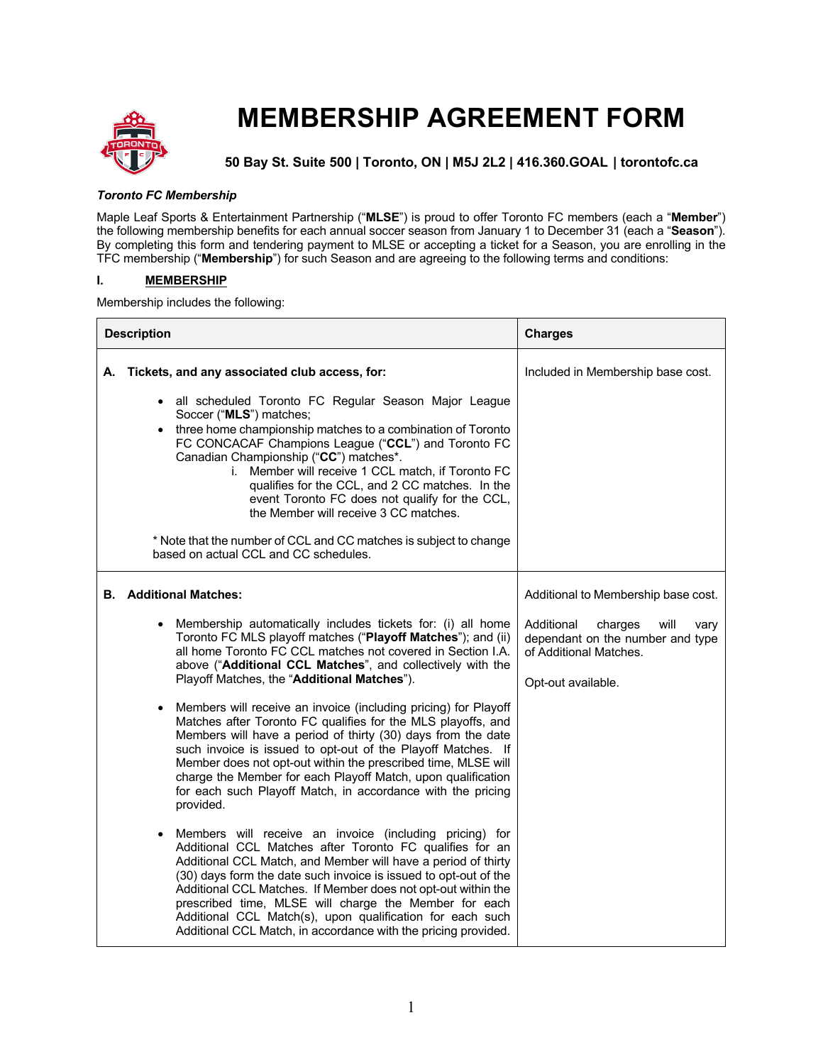

# **MEMBERSHIP AGREEMENT FORM**

**50 Bay St. Suite 500 | Toronto, ON | M5J 2L2 | 416.360.GOAL | torontofc.ca**

## *Toronto FC Membership*

Maple Leaf Sports & Entertainment Partnership ("**MLSE**") is proud to offer Toronto FC members (each a "**Member**") the following membership benefits for each annual soccer season from January 1 to December 31 (each a "**Season**"). By completing this form and tendering payment to MLSE or accepting a ticket for a Season, you are enrolling in the TFC membership ("**Membership**") for such Season and are agreeing to the following terms and conditions:

# **I. MEMBERSHIP**

Membership includes the following:

| <b>Description</b> |                                                                                                                                                                                                                                                                                                                                                                                                                                                                                                                                                                                 | <b>Charges</b>                                                                                                            |
|--------------------|---------------------------------------------------------------------------------------------------------------------------------------------------------------------------------------------------------------------------------------------------------------------------------------------------------------------------------------------------------------------------------------------------------------------------------------------------------------------------------------------------------------------------------------------------------------------------------|---------------------------------------------------------------------------------------------------------------------------|
| А.                 | Tickets, and any associated club access, for:                                                                                                                                                                                                                                                                                                                                                                                                                                                                                                                                   | Included in Membership base cost.                                                                                         |
|                    | all scheduled Toronto FC Regular Season Major League<br>$\bullet$<br>Soccer ("MLS") matches;<br>• three home championship matches to a combination of Toronto<br>FC CONCACAF Champions League ("CCL") and Toronto FC<br>Canadian Championship ("CC") matches*.<br>i. Member will receive 1 CCL match, if Toronto FC<br>qualifies for the CCL, and 2 CC matches. In the<br>event Toronto FC does not qualify for the CCL,<br>the Member will receive 3 CC matches.<br>* Note that the number of CCL and CC matches is subject to change<br>based on actual CCL and CC schedules. |                                                                                                                           |
|                    |                                                                                                                                                                                                                                                                                                                                                                                                                                                                                                                                                                                 |                                                                                                                           |
| В.                 | <b>Additional Matches:</b>                                                                                                                                                                                                                                                                                                                                                                                                                                                                                                                                                      | Additional to Membership base cost.                                                                                       |
|                    | Membership automatically includes tickets for: (i) all home<br>$\bullet$<br>Toronto FC MLS playoff matches ("Playoff Matches"); and (ii)<br>all home Toronto FC CCL matches not covered in Section I.A.<br>above ("Additional CCL Matches", and collectively with the<br>Playoff Matches, the "Additional Matches").                                                                                                                                                                                                                                                            | Additional<br>charges<br>will<br>vary<br>dependant on the number and type<br>of Additional Matches.<br>Opt-out available. |
|                    | Members will receive an invoice (including pricing) for Playoff<br>$\bullet$<br>Matches after Toronto FC qualifies for the MLS playoffs, and<br>Members will have a period of thirty (30) days from the date<br>such invoice is issued to opt-out of the Playoff Matches. If<br>Member does not opt-out within the prescribed time, MLSE will<br>charge the Member for each Playoff Match, upon qualification<br>for each such Playoff Match, in accordance with the pricing<br>provided.                                                                                       |                                                                                                                           |
|                    | Members will receive an invoice (including pricing) for<br>$\bullet$<br>Additional CCL Matches after Toronto FC qualifies for an<br>Additional CCL Match, and Member will have a period of thirty<br>(30) days form the date such invoice is issued to opt-out of the<br>Additional CCL Matches. If Member does not opt-out within the<br>prescribed time, MLSE will charge the Member for each<br>Additional CCL Match(s), upon qualification for each such<br>Additional CCL Match, in accordance with the pricing provided.                                                  |                                                                                                                           |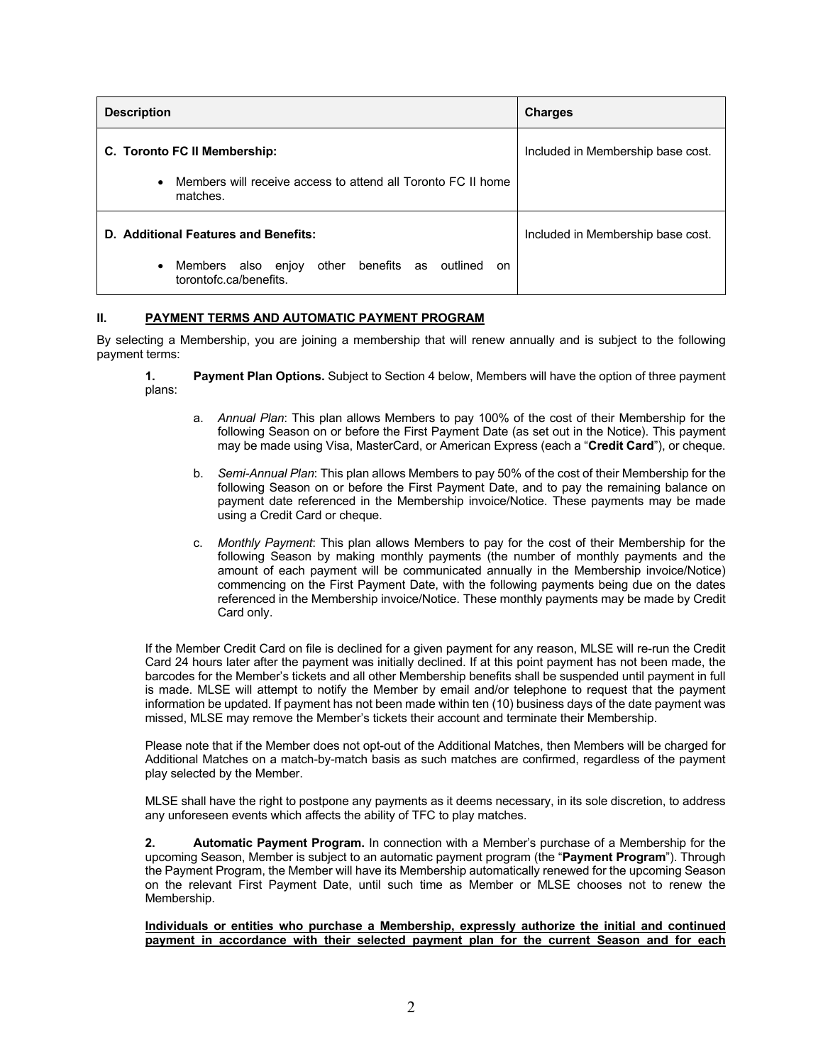| <b>Description</b>                                                                                | <b>Charges</b>                    |
|---------------------------------------------------------------------------------------------------|-----------------------------------|
| C. Toronto FC II Membership:                                                                      | Included in Membership base cost. |
| Members will receive access to attend all Toronto FC II home<br>$\bullet$<br>matches.             |                                   |
| D. Additional Features and Benefits:                                                              | Included in Membership base cost. |
| other benefits as<br>outlined<br>Members also enjoy<br>$\bullet$<br>on.<br>torontofc.ca/benefits. |                                   |

# **II. PAYMENT TERMS AND AUTOMATIC PAYMENT PROGRAM**

By selecting a Membership, you are joining a membership that will renew annually and is subject to the following payment terms:

- **1. Payment Plan Options.** Subject to Section 4 below, Members will have the option of three payment plans:
	- a. *Annual Plan*: This plan allows Members to pay 100% of the cost of their Membership for the following Season on or before the First Payment Date (as set out in the Notice). This payment may be made using Visa, MasterCard, or American Express (each a "**Credit Card**"), or cheque.
	- b. *Semi-Annual Plan*: This plan allows Members to pay 50% of the cost of their Membership for the following Season on or before the First Payment Date, and to pay the remaining balance on payment date referenced in the Membership invoice/Notice. These payments may be made using a Credit Card or cheque.
	- c. *Monthly Payment*: This plan allows Members to pay for the cost of their Membership for the following Season by making monthly payments (the number of monthly payments and the amount of each payment will be communicated annually in the Membership invoice/Notice) commencing on the First Payment Date, with the following payments being due on the dates referenced in the Membership invoice/Notice. These monthly payments may be made by Credit Card only.

If the Member Credit Card on file is declined for a given payment for any reason, MLSE will re-run the Credit Card 24 hours later after the payment was initially declined. If at this point payment has not been made, the barcodes for the Member's tickets and all other Membership benefits shall be suspended until payment in full is made. MLSE will attempt to notify the Member by email and/or telephone to request that the payment information be updated. If payment has not been made within ten (10) business days of the date payment was missed, MLSE may remove the Member's tickets their account and terminate their Membership.

Please note that if the Member does not opt-out of the Additional Matches, then Members will be charged for Additional Matches on a match-by-match basis as such matches are confirmed, regardless of the payment play selected by the Member.

MLSE shall have the right to postpone any payments as it deems necessary, in its sole discretion, to address any unforeseen events which affects the ability of TFC to play matches.

**2. Automatic Payment Program.** In connection with a Member's purchase of a Membership for the upcoming Season, Member is subject to an automatic payment program (the "**Payment Program**"). Through the Payment Program, the Member will have its Membership automatically renewed for the upcoming Season on the relevant First Payment Date, until such time as Member or MLSE chooses not to renew the Membership.

#### **Individuals or entities who purchase a Membership, expressly authorize the initial and continued payment in accordance with their selected payment plan for the current Season and for each**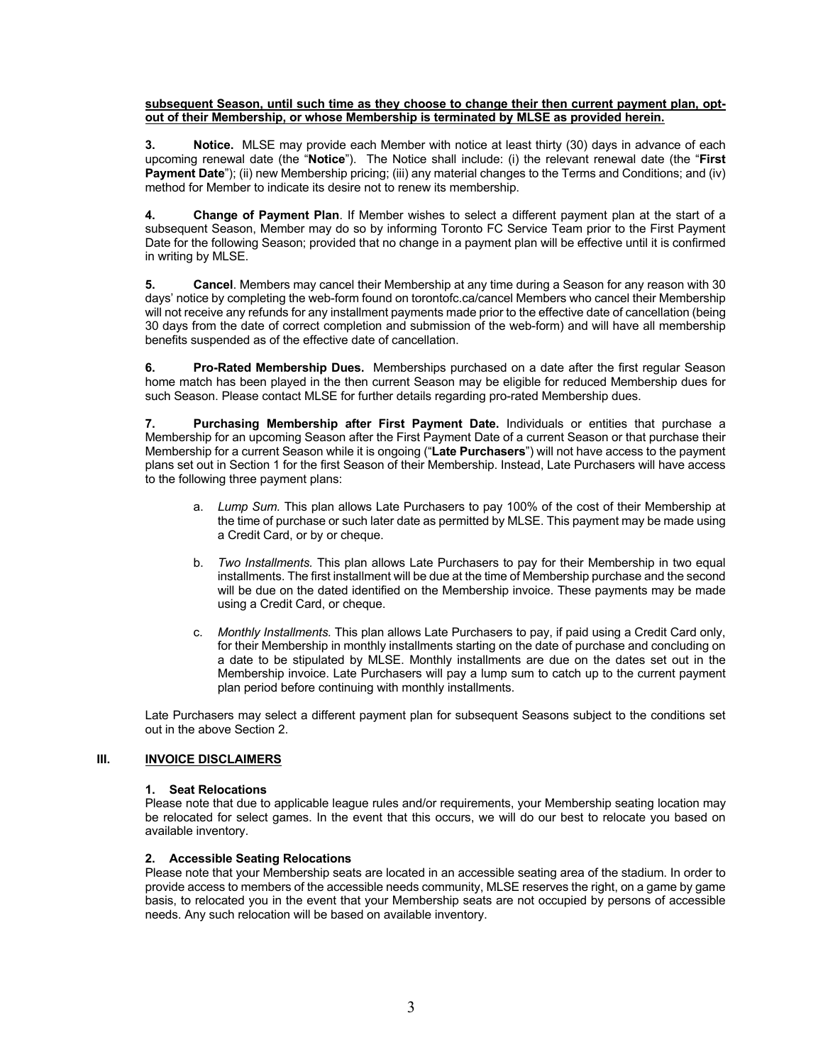#### **subsequent Season, until such time as they choose to change their then current payment plan, optout of their Membership, or whose Membership is terminated by MLSE as provided herein.**

**3. Notice.** MLSE may provide each Member with notice at least thirty (30) days in advance of each upcoming renewal date (the "**Notice**"). The Notice shall include: (i) the relevant renewal date (the "**First Payment Date**"); (ii) new Membership pricing; (iii) any material changes to the Terms and Conditions; and (iv) method for Member to indicate its desire not to renew its membership.

**4. Change of Payment Plan**. If Member wishes to select a different payment plan at the start of a subsequent Season, Member may do so by informing Toronto FC Service Team prior to the First Payment Date for the following Season; provided that no change in a payment plan will be effective until it is confirmed in writing by MLSE.

**5. Cancel**. Members may cancel their Membership at any time during a Season for any reason with 30 days' notice by completing the web-form found on torontofc.ca/cancel Members who cancel their Membership will not receive any refunds for any installment payments made prior to the effective date of cancellation (being 30 days from the date of correct completion and submission of the web-form) and will have all membership benefits suspended as of the effective date of cancellation.

**6. Pro-Rated Membership Dues.** Memberships purchased on a date after the first regular Season home match has been played in the then current Season may be eligible for reduced Membership dues for such Season. Please contact MLSE for further details regarding pro-rated Membership dues.

**7. Purchasing Membership after First Payment Date.** Individuals or entities that purchase a Membership for an upcoming Season after the First Payment Date of a current Season or that purchase their Membership for a current Season while it is ongoing ("**Late Purchasers**") will not have access to the payment plans set out in Section 1 for the first Season of their Membership. Instead, Late Purchasers will have access to the following three payment plans:

- a. *Lump Sum.* This plan allows Late Purchasers to pay 100% of the cost of their Membership at the time of purchase or such later date as permitted by MLSE. This payment may be made using a Credit Card, or by or cheque.
- b. *Two Installments.* This plan allows Late Purchasers to pay for their Membership in two equal installments. The first installment will be due at the time of Membership purchase and the second will be due on the dated identified on the Membership invoice. These payments may be made using a Credit Card, or cheque.
- c. *Monthly Installments.* This plan allows Late Purchasers to pay, if paid using a Credit Card only, for their Membership in monthly installments starting on the date of purchase and concluding on a date to be stipulated by MLSE. Monthly installments are due on the dates set out in the Membership invoice. Late Purchasers will pay a lump sum to catch up to the current payment plan period before continuing with monthly installments.

Late Purchasers may select a different payment plan for subsequent Seasons subject to the conditions set out in the above Section 2.

# **III. INVOICE DISCLAIMERS**

#### **1. Seat Relocations**

Please note that due to applicable league rules and/or requirements, your Membership seating location may be relocated for select games. In the event that this occurs, we will do our best to relocate you based on available inventory.

## **2. Accessible Seating Relocations**

Please note that your Membership seats are located in an accessible seating area of the stadium. In order to provide access to members of the accessible needs community, MLSE reserves the right, on a game by game basis, to relocated you in the event that your Membership seats are not occupied by persons of accessible needs. Any such relocation will be based on available inventory.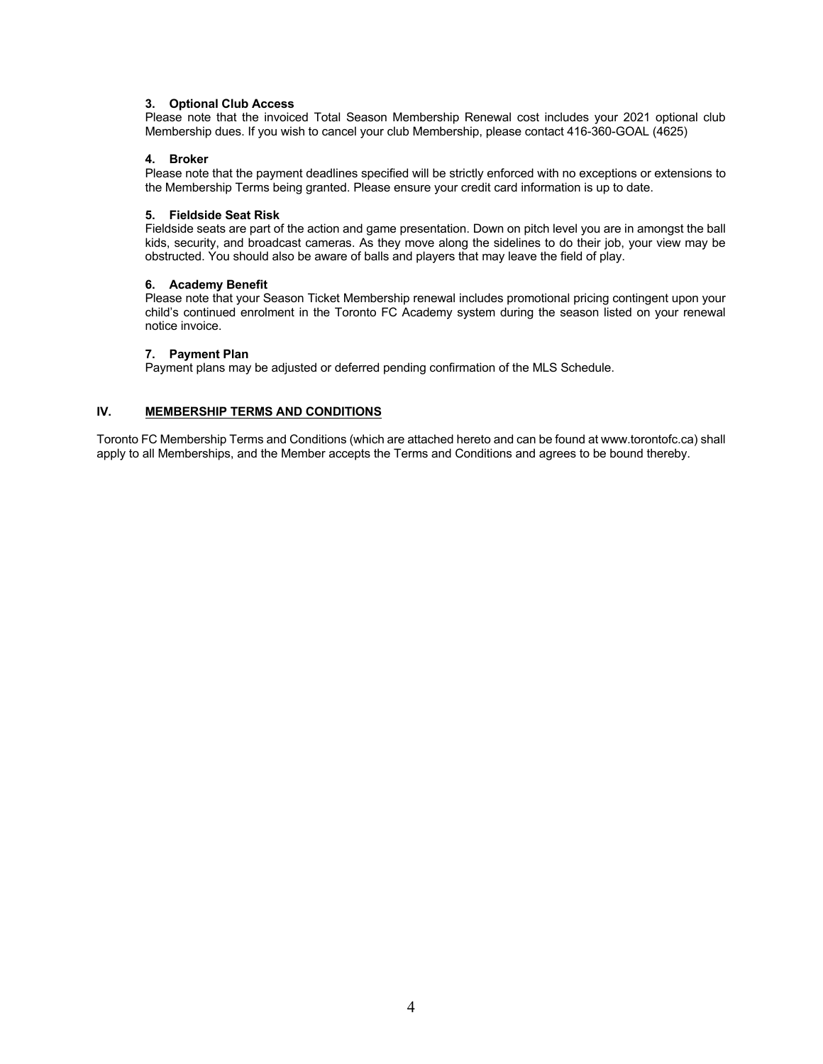#### **3. Optional Club Access**

Please note that the invoiced Total Season Membership Renewal cost includes your 2021 optional club Membership dues. If you wish to cancel your club Membership, please contact 416-360-GOAL (4625)

#### **4. Broker**

Please note that the payment deadlines specified will be strictly enforced with no exceptions or extensions to the Membership Terms being granted. Please ensure your credit card information is up to date.

#### **5. Fieldside Seat Risk**

Fieldside seats are part of the action and game presentation. Down on pitch level you are in amongst the ball kids, security, and broadcast cameras. As they move along the sidelines to do their job, your view may be obstructed. You should also be aware of balls and players that may leave the field of play.

#### **6. Academy Benefit**

Please note that your Season Ticket Membership renewal includes promotional pricing contingent upon your child's continued enrolment in the Toronto FC Academy system during the season listed on your renewal notice invoice.

#### **7. Payment Plan**

Payment plans may be adjusted or deferred pending confirmation of the MLS Schedule.

## **IV. MEMBERSHIP TERMS AND CONDITIONS**

Toronto FC Membership Terms and Conditions (which are attached hereto and can be found at www.torontofc.ca) shall apply to all Memberships, and the Member accepts the Terms and Conditions and agrees to be bound thereby.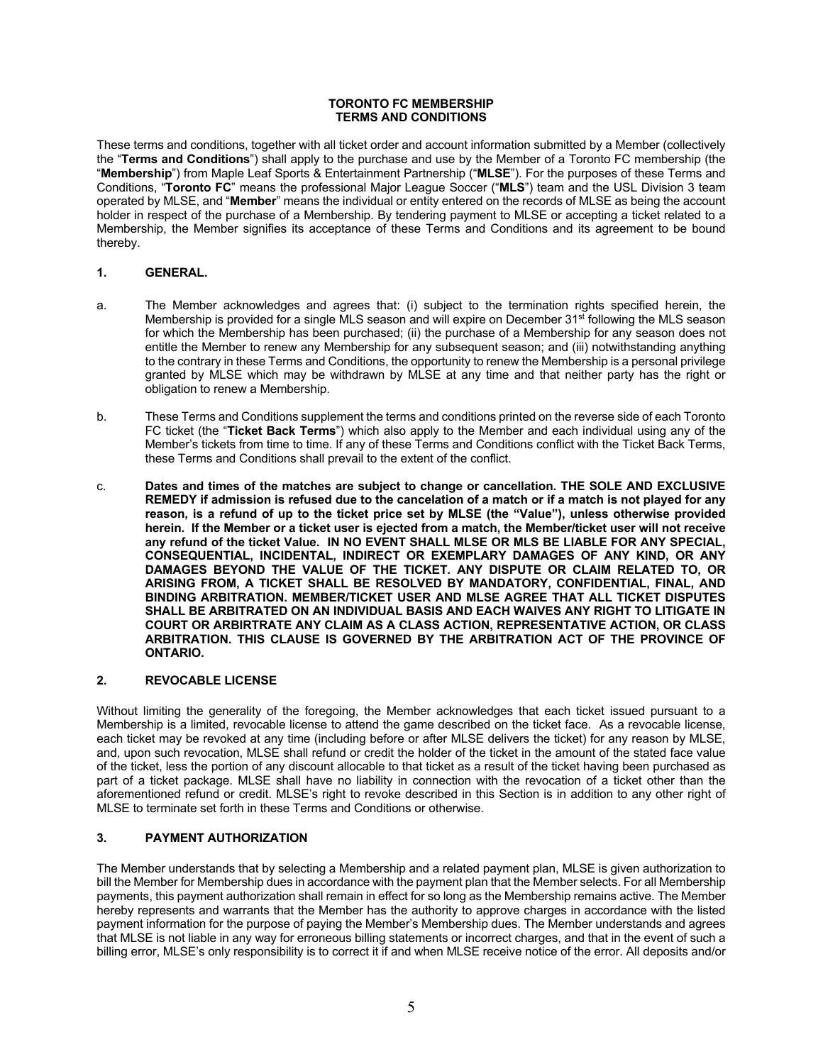#### **TORONTO FC MEMBERSHIP TERMS AND CONDITIONS**

These terms and conditions, together with all ticket order and account information submitted by a Member (collectively the "**Terms and Conditions**") shall apply to the purchase and use by the Member of a Toronto FC membership (the "**Membership**") from Maple Leaf Sports & Entertainment Partnership ("**MLSE**"). For the purposes of these Terms and Conditions, "**Toronto FC**" means the professional Major League Soccer ("**MLS**") team and the USL Division 3 team operated by MLSE, and "**Member**" means the individual or entity entered on the records of MLSE as being the account holder in respect of the purchase of a Membership. By tendering payment to MLSE or accepting a ticket related to a Membership, the Member signifies its acceptance of these Terms and Conditions and its agreement to be bound thereby.

## **1. GENERAL.**

- a. The Member acknowledges and agrees that: (i) subject to the termination rights specified herein, the Membership is provided for a single MLS season and will expire on December 31<sup>st</sup> following the MLS season for which the Membership has been purchased; (ii) the purchase of a Membership for any season does not entitle the Member to renew any Membership for any subsequent season; and (iii) notwithstanding anything to the contrary in these Terms and Conditions, the opportunity to renew the Membership is a personal privilege granted by MLSE which may be withdrawn by MLSE at any time and that neither party has the right or obligation to renew a Membership.
- b. These Terms and Conditions supplement the terms and conditions printed on the reverse side of each Toronto FC ticket (the "**Ticket Back Terms**") which also apply to the Member and each individual using any of the Member's tickets from time to time. If any of these Terms and Conditions conflict with the Ticket Back Terms, these Terms and Conditions shall prevail to the extent of the conflict.
- c. **Dates and times of the matches are subject to change or cancellation. THE SOLE AND EXCLUSIVE REMEDY if admission is refused due to the cancelation of a match or if a match is not played for any reason, is a refund of up to the ticket price set by MLSE (the "Value"), unless otherwise provided herein. If the Member or a ticket user is ejected from a match, the Member/ticket user will not receive any refund of the ticket Value. IN NO EVENT SHALL MLSE OR MLS BE LIABLE FOR ANY SPECIAL, CONSEQUENTIAL, INCIDENTAL, INDIRECT OR EXEMPLARY DAMAGES OF ANY KIND, OR ANY DAMAGES BEYOND THE VALUE OF THE TICKET. ANY DISPUTE OR CLAIM RELATED TO, OR ARISING FROM, A TICKET SHALL BE RESOLVED BY MANDATORY, CONFIDENTIAL, FINAL, AND BINDING ARBITRATION. MEMBER/TICKET USER AND MLSE AGREE THAT ALL TICKET DISPUTES SHALL BE ARBITRATED ON AN INDIVIDUAL BASIS AND EACH WAIVES ANY RIGHT TO LITIGATE IN COURT OR ARBIRTRATE ANY CLAIM AS A CLASS ACTION, REPRESENTATIVE ACTION, OR CLASS ARBITRATION. THIS CLAUSE IS GOVERNED BY THE ARBITRATION ACT OF THE PROVINCE OF ONTARIO.**

# **2. REVOCABLE LICENSE**

Without limiting the generality of the foregoing, the Member acknowledges that each ticket issued pursuant to a Membership is a limited, revocable license to attend the game described on the ticket face. As a revocable license, each ticket may be revoked at any time (including before or after MLSE delivers the ticket) for any reason by MLSE, and, upon such revocation, MLSE shall refund or credit the holder of the ticket in the amount of the stated face value of the ticket, less the portion of any discount allocable to that ticket as a result of the ticket having been purchased as part of a ticket package. MLSE shall have no liability in connection with the revocation of a ticket other than the aforementioned refund or credit. MLSE's right to revoke described in this Section is in addition to any other right of MLSE to terminate set forth in these Terms and Conditions or otherwise.

# **3. PAYMENT AUTHORIZATION**

The Member understands that by selecting a Membership and a related payment plan, MLSE is given authorization to bill the Member for Membership dues in accordance with the payment plan that the Member selects. For all Membership payments, this payment authorization shall remain in effect for so long as the Membership remains active. The Member hereby represents and warrants that the Member has the authority to approve charges in accordance with the listed payment information for the purpose of paying the Member's Membership dues. The Member understands and agrees that MLSE is not liable in any way for erroneous billing statements or incorrect charges, and that in the event of such a billing error, MLSE's only responsibility is to correct it if and when MLSE receive notice of the error. All deposits and/or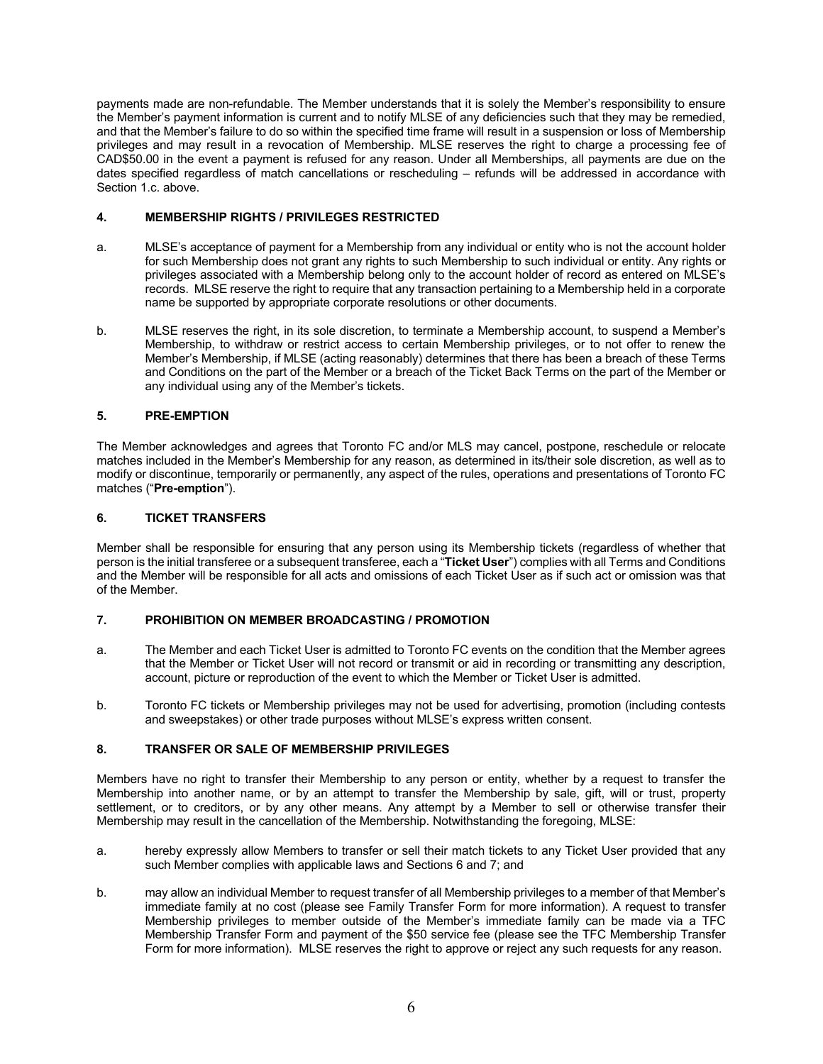payments made are non-refundable. The Member understands that it is solely the Member's responsibility to ensure the Member's payment information is current and to notify MLSE of any deficiencies such that they may be remedied, and that the Member's failure to do so within the specified time frame will result in a suspension or loss of Membership privileges and may result in a revocation of Membership. MLSE reserves the right to charge a processing fee of CAD\$50.00 in the event a payment is refused for any reason. Under all Memberships, all payments are due on the dates specified regardless of match cancellations or rescheduling – refunds will be addressed in accordance with Section 1.c. above.

## **4. MEMBERSHIP RIGHTS / PRIVILEGES RESTRICTED**

- a. MLSE's acceptance of payment for a Membership from any individual or entity who is not the account holder for such Membership does not grant any rights to such Membership to such individual or entity. Any rights or privileges associated with a Membership belong only to the account holder of record as entered on MLSE's records. MLSE reserve the right to require that any transaction pertaining to a Membership held in a corporate name be supported by appropriate corporate resolutions or other documents.
- b. MLSE reserves the right, in its sole discretion, to terminate a Membership account, to suspend a Member's Membership, to withdraw or restrict access to certain Membership privileges, or to not offer to renew the Member's Membership, if MLSE (acting reasonably) determines that there has been a breach of these Terms and Conditions on the part of the Member or a breach of the Ticket Back Terms on the part of the Member or any individual using any of the Member's tickets.

## **5. PRE-EMPTION**

The Member acknowledges and agrees that Toronto FC and/or MLS may cancel, postpone, reschedule or relocate matches included in the Member's Membership for any reason, as determined in its/their sole discretion, as well as to modify or discontinue, temporarily or permanently, any aspect of the rules, operations and presentations of Toronto FC matches ("**Pre-emption**").

## **6. TICKET TRANSFERS**

Member shall be responsible for ensuring that any person using its Membership tickets (regardless of whether that person is the initial transferee or a subsequent transferee, each a "**Ticket User**") complies with all Terms and Conditions and the Member will be responsible for all acts and omissions of each Ticket User as if such act or omission was that of the Member.

#### **7. PROHIBITION ON MEMBER BROADCASTING / PROMOTION**

- a. The Member and each Ticket User is admitted to Toronto FC events on the condition that the Member agrees that the Member or Ticket User will not record or transmit or aid in recording or transmitting any description, account, picture or reproduction of the event to which the Member or Ticket User is admitted.
- b. Toronto FC tickets or Membership privileges may not be used for advertising, promotion (including contests and sweepstakes) or other trade purposes without MLSE's express written consent.

# **8. TRANSFER OR SALE OF MEMBERSHIP PRIVILEGES**

Members have no right to transfer their Membership to any person or entity, whether by a request to transfer the Membership into another name, or by an attempt to transfer the Membership by sale, gift, will or trust, property settlement, or to creditors, or by any other means. Any attempt by a Member to sell or otherwise transfer their Membership may result in the cancellation of the Membership. Notwithstanding the foregoing, MLSE:

- a. hereby expressly allow Members to transfer or sell their match tickets to any Ticket User provided that any such Member complies with applicable laws and Sections 6 and 7; and
- b. may allow an individual Member to request transfer of all Membership privileges to a member of that Member's immediate family at no cost (please see Family Transfer Form for more information). A request to transfer Membership privileges to member outside of the Member's immediate family can be made via a TFC Membership Transfer Form and payment of the \$50 service fee (please see the TFC Membership Transfer Form for more information). MLSE reserves the right to approve or reject any such requests for any reason.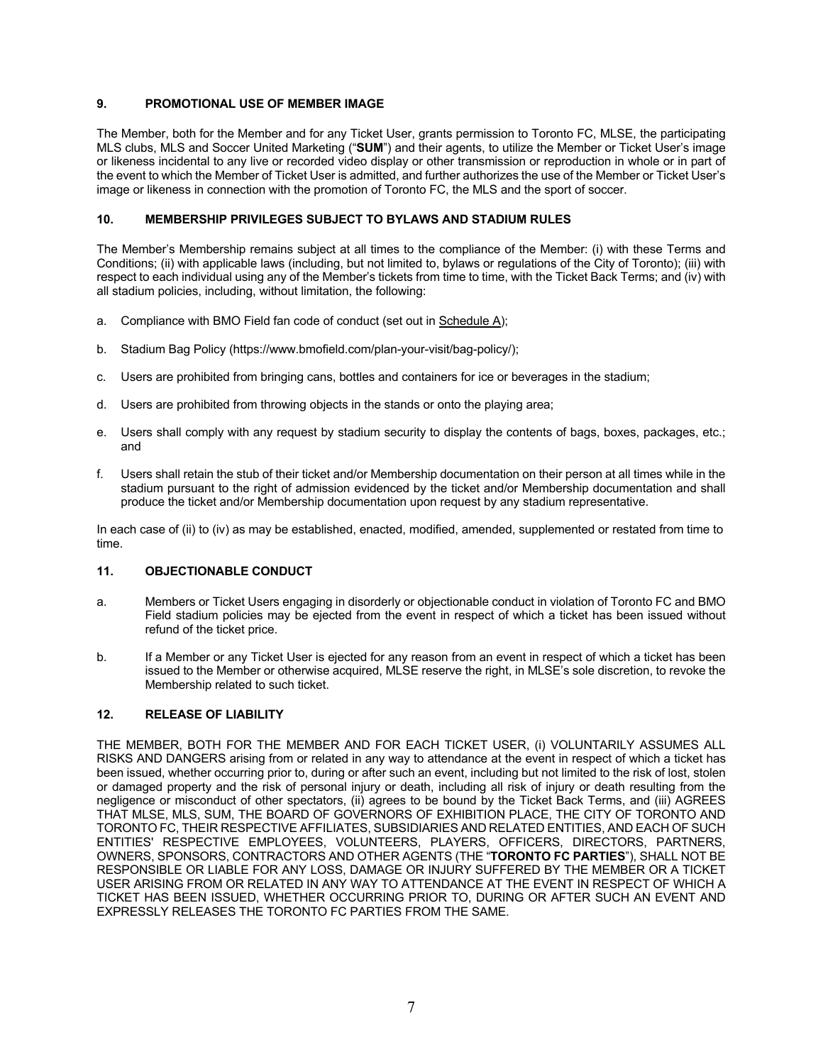# **9. PROMOTIONAL USE OF MEMBER IMAGE**

The Member, both for the Member and for any Ticket User, grants permission to Toronto FC, MLSE, the participating MLS clubs, MLS and Soccer United Marketing ("**SUM**") and their agents, to utilize the Member or Ticket User's image or likeness incidental to any live or recorded video display or other transmission or reproduction in whole or in part of the event to which the Member of Ticket User is admitted, and further authorizes the use of the Member or Ticket User's image or likeness in connection with the promotion of Toronto FC, the MLS and the sport of soccer.

## **10. MEMBERSHIP PRIVILEGES SUBJECT TO BYLAWS AND STADIUM RULES**

The Member's Membership remains subject at all times to the compliance of the Member: (i) with these Terms and Conditions; (ii) with applicable laws (including, but not limited to, bylaws or regulations of the City of Toronto); (iii) with respect to each individual using any of the Member's tickets from time to time, with the Ticket Back Terms; and (iv) with all stadium policies, including, without limitation, the following:

- a. Compliance with BMO Field fan code of conduct (set out in Schedule A);
- b. Stadium Bag Policy (https://www.bmofield.com/plan-your-visit/bag-policy/);
- c. Users are prohibited from bringing cans, bottles and containers for ice or beverages in the stadium;
- d. Users are prohibited from throwing objects in the stands or onto the playing area;
- e. Users shall comply with any request by stadium security to display the contents of bags, boxes, packages, etc.; and
- f. Users shall retain the stub of their ticket and/or Membership documentation on their person at all times while in the stadium pursuant to the right of admission evidenced by the ticket and/or Membership documentation and shall produce the ticket and/or Membership documentation upon request by any stadium representative.

In each case of (ii) to (iv) as may be established, enacted, modified, amended, supplemented or restated from time to time.

# **11. OBJECTIONABLE CONDUCT**

- a. Members or Ticket Users engaging in disorderly or objectionable conduct in violation of Toronto FC and BMO Field stadium policies may be ejected from the event in respect of which a ticket has been issued without refund of the ticket price.
- b. If a Member or any Ticket User is ejected for any reason from an event in respect of which a ticket has been issued to the Member or otherwise acquired, MLSE reserve the right, in MLSE's sole discretion, to revoke the Membership related to such ticket.

# **12. RELEASE OF LIABILITY**

THE MEMBER, BOTH FOR THE MEMBER AND FOR EACH TICKET USER, (i) VOLUNTARILY ASSUMES ALL RISKS AND DANGERS arising from or related in any way to attendance at the event in respect of which a ticket has been issued, whether occurring prior to, during or after such an event, including but not limited to the risk of lost, stolen or damaged property and the risk of personal injury or death, including all risk of injury or death resulting from the negligence or misconduct of other spectators, (ii) agrees to be bound by the Ticket Back Terms, and (iii) AGREES THAT MLSE, MLS, SUM, THE BOARD OF GOVERNORS OF EXHIBITION PLACE, THE CITY OF TORONTO AND TORONTO FC, THEIR RESPECTIVE AFFILIATES, SUBSIDIARIES AND RELATED ENTITIES, AND EACH OF SUCH ENTITIES' RESPECTIVE EMPLOYEES, VOLUNTEERS, PLAYERS, OFFICERS, DIRECTORS, PARTNERS, OWNERS, SPONSORS, CONTRACTORS AND OTHER AGENTS (THE "**TORONTO FC PARTIES**"), SHALL NOT BE RESPONSIBLE OR LIABLE FOR ANY LOSS, DAMAGE OR INJURY SUFFERED BY THE MEMBER OR A TICKET USER ARISING FROM OR RELATED IN ANY WAY TO ATTENDANCE AT THE EVENT IN RESPECT OF WHICH A TICKET HAS BEEN ISSUED, WHETHER OCCURRING PRIOR TO, DURING OR AFTER SUCH AN EVENT AND EXPRESSLY RELEASES THE TORONTO FC PARTIES FROM THE SAME.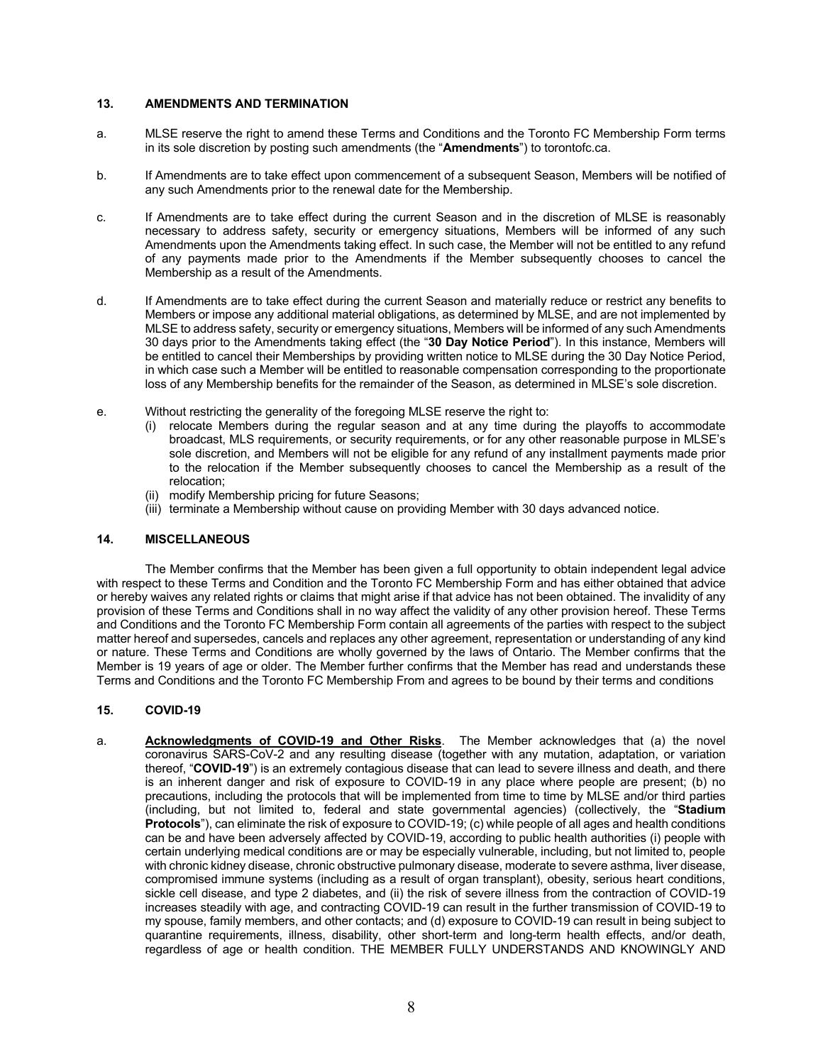#### **13. AMENDMENTS AND TERMINATION**

- a. MLSE reserve the right to amend these Terms and Conditions and the Toronto FC Membership Form terms in its sole discretion by posting such amendments (the "**Amendments**") to torontofc.ca.
- b. If Amendments are to take effect upon commencement of a subsequent Season, Members will be notified of any such Amendments prior to the renewal date for the Membership.
- c. If Amendments are to take effect during the current Season and in the discretion of MLSE is reasonably necessary to address safety, security or emergency situations, Members will be informed of any such Amendments upon the Amendments taking effect. In such case, the Member will not be entitled to any refund of any payments made prior to the Amendments if the Member subsequently chooses to cancel the Membership as a result of the Amendments.
- d. If Amendments are to take effect during the current Season and materially reduce or restrict any benefits to Members or impose any additional material obligations, as determined by MLSE, and are not implemented by MLSE to address safety, security or emergency situations, Members will be informed of any such Amendments 30 days prior to the Amendments taking effect (the "**30 Day Notice Period**"). In this instance, Members will be entitled to cancel their Memberships by providing written notice to MLSE during the 30 Day Notice Period, in which case such a Member will be entitled to reasonable compensation corresponding to the proportionate loss of any Membership benefits for the remainder of the Season, as determined in MLSE's sole discretion.
- e. Without restricting the generality of the foregoing MLSE reserve the right to:
	- (i) relocate Members during the regular season and at any time during the playoffs to accommodate broadcast, MLS requirements, or security requirements, or for any other reasonable purpose in MLSE's sole discretion, and Members will not be eligible for any refund of any installment payments made prior to the relocation if the Member subsequently chooses to cancel the Membership as a result of the relocation;
	- (ii) modify Membership pricing for future Seasons;
	- (iii) terminate a Membership without cause on providing Member with 30 days advanced notice.

## **14. MISCELLANEOUS**

The Member confirms that the Member has been given a full opportunity to obtain independent legal advice with respect to these Terms and Condition and the Toronto FC Membership Form and has either obtained that advice or hereby waives any related rights or claims that might arise if that advice has not been obtained. The invalidity of any provision of these Terms and Conditions shall in no way affect the validity of any other provision hereof. These Terms and Conditions and the Toronto FC Membership Form contain all agreements of the parties with respect to the subject matter hereof and supersedes, cancels and replaces any other agreement, representation or understanding of any kind or nature. These Terms and Conditions are wholly governed by the laws of Ontario. The Member confirms that the Member is 19 years of age or older. The Member further confirms that the Member has read and understands these Terms and Conditions and the Toronto FC Membership From and agrees to be bound by their terms and conditions

#### **15. COVID-19**

a. **Acknowledgments of COVID-19 and Other Risks**. The Member acknowledges that (a) the novel coronavirus SARS-CoV-2 and any resulting disease (together with any mutation, adaptation, or variation thereof, "**COVID-19**") is an extremely contagious disease that can lead to severe illness and death, and there is an inherent danger and risk of exposure to COVID-19 in any place where people are present; (b) no precautions, including the protocols that will be implemented from time to time by MLSE and/or third parties (including, but not limited to, federal and state governmental agencies) (collectively, the "**Stadium Protocols**"), can eliminate the risk of exposure to COVID-19; (c) while people of all ages and health conditions can be and have been adversely affected by COVID-19, according to public health authorities (i) people with certain underlying medical conditions are or may be especially vulnerable, including, but not limited to, people with chronic kidney disease, chronic obstructive pulmonary disease, moderate to severe asthma, liver disease, compromised immune systems (including as a result of organ transplant), obesity, serious heart conditions, sickle cell disease, and type 2 diabetes, and (ii) the risk of severe illness from the contraction of COVID-19 increases steadily with age, and contracting COVID-19 can result in the further transmission of COVID-19 to my spouse, family members, and other contacts; and (d) exposure to COVID-19 can result in being subject to quarantine requirements, illness, disability, other short-term and long-term health effects, and/or death, regardless of age or health condition. THE MEMBER FULLY UNDERSTANDS AND KNOWINGLY AND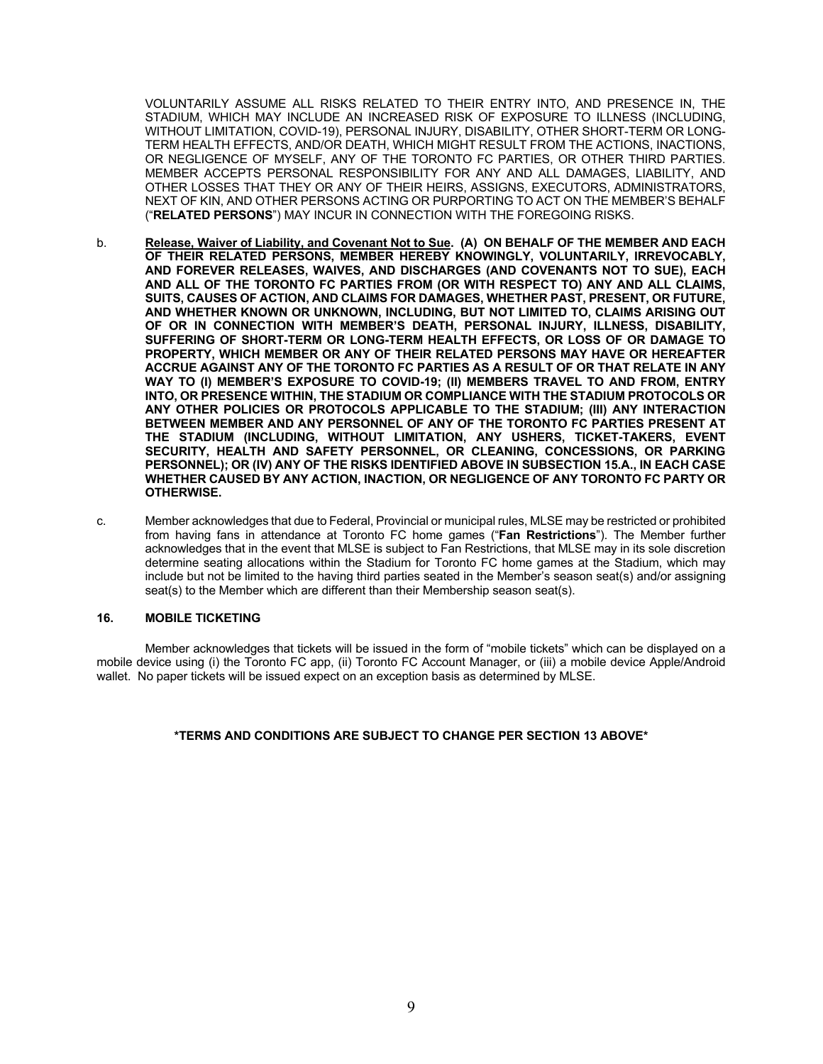VOLUNTARILY ASSUME ALL RISKS RELATED TO THEIR ENTRY INTO, AND PRESENCE IN, THE STADIUM, WHICH MAY INCLUDE AN INCREASED RISK OF EXPOSURE TO ILLNESS (INCLUDING, WITHOUT LIMITATION, COVID-19), PERSONAL INJURY, DISABILITY, OTHER SHORT-TERM OR LONG-TERM HEALTH EFFECTS, AND/OR DEATH, WHICH MIGHT RESULT FROM THE ACTIONS, INACTIONS, OR NEGLIGENCE OF MYSELF, ANY OF THE TORONTO FC PARTIES, OR OTHER THIRD PARTIES. MEMBER ACCEPTS PERSONAL RESPONSIBILITY FOR ANY AND ALL DAMAGES, LIABILITY, AND OTHER LOSSES THAT THEY OR ANY OF THEIR HEIRS, ASSIGNS, EXECUTORS, ADMINISTRATORS, NEXT OF KIN, AND OTHER PERSONS ACTING OR PURPORTING TO ACT ON THE MEMBER'S BEHALF ("**RELATED PERSONS**") MAY INCUR IN CONNECTION WITH THE FOREGOING RISKS.

- b. **Release, Waiver of Liability, and Covenant Not to Sue. (A) ON BEHALF OF THE MEMBER AND EACH OF THEIR RELATED PERSONS, MEMBER HEREBY KNOWINGLY, VOLUNTARILY, IRREVOCABLY, AND FOREVER RELEASES, WAIVES, AND DISCHARGES (AND COVENANTS NOT TO SUE), EACH AND ALL OF THE TORONTO FC PARTIES FROM (OR WITH RESPECT TO) ANY AND ALL CLAIMS, SUITS, CAUSES OF ACTION, AND CLAIMS FOR DAMAGES, WHETHER PAST, PRESENT, OR FUTURE, AND WHETHER KNOWN OR UNKNOWN, INCLUDING, BUT NOT LIMITED TO, CLAIMS ARISING OUT OF OR IN CONNECTION WITH MEMBER'S DEATH, PERSONAL INJURY, ILLNESS, DISABILITY, SUFFERING OF SHORT-TERM OR LONG-TERM HEALTH EFFECTS, OR LOSS OF OR DAMAGE TO PROPERTY, WHICH MEMBER OR ANY OF THEIR RELATED PERSONS MAY HAVE OR HEREAFTER ACCRUE AGAINST ANY OF THE TORONTO FC PARTIES AS A RESULT OF OR THAT RELATE IN ANY WAY TO (I) MEMBER'S EXPOSURE TO COVID-19; (II) MEMBERS TRAVEL TO AND FROM, ENTRY INTO, OR PRESENCE WITHIN, THE STADIUM OR COMPLIANCE WITH THE STADIUM PROTOCOLS OR ANY OTHER POLICIES OR PROTOCOLS APPLICABLE TO THE STADIUM; (III) ANY INTERACTION BETWEEN MEMBER AND ANY PERSONNEL OF ANY OF THE TORONTO FC PARTIES PRESENT AT THE STADIUM (INCLUDING, WITHOUT LIMITATION, ANY USHERS, TICKET-TAKERS, EVENT SECURITY, HEALTH AND SAFETY PERSONNEL, OR CLEANING, CONCESSIONS, OR PARKING PERSONNEL); OR (IV) ANY OF THE RISKS IDENTIFIED ABOVE IN SUBSECTION 15.A., IN EACH CASE WHETHER CAUSED BY ANY ACTION, INACTION, OR NEGLIGENCE OF ANY TORONTO FC PARTY OR OTHERWISE.**
- c. Member acknowledges that due to Federal, Provincial or municipal rules, MLSE may be restricted or prohibited from having fans in attendance at Toronto FC home games ("**Fan Restrictions**"). The Member further acknowledges that in the event that MLSE is subject to Fan Restrictions, that MLSE may in its sole discretion determine seating allocations within the Stadium for Toronto FC home games at the Stadium, which may include but not be limited to the having third parties seated in the Member's season seat(s) and/or assigning seat(s) to the Member which are different than their Membership season seat(s).

#### **16. MOBILE TICKETING**

Member acknowledges that tickets will be issued in the form of "mobile tickets" which can be displayed on a mobile device using (i) the Toronto FC app, (ii) Toronto FC Account Manager, or (iii) a mobile device Apple/Android wallet. No paper tickets will be issued expect on an exception basis as determined by MLSE.

#### **\*TERMS AND CONDITIONS ARE SUBJECT TO CHANGE PER SECTION 13 ABOVE\***